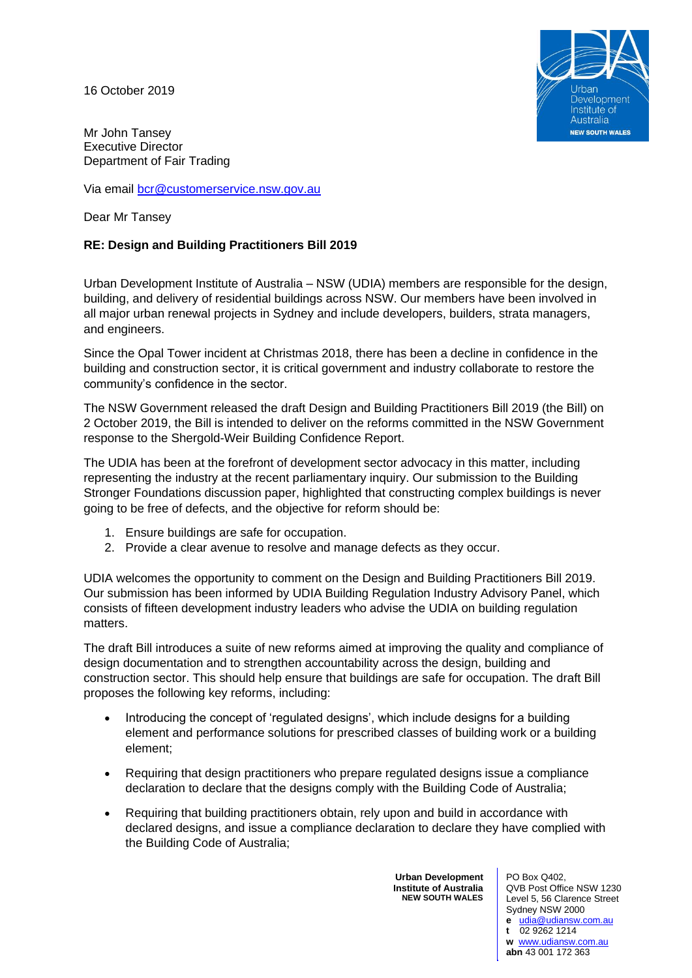16 October 2019



Mr John Tansey Executive Director Department of Fair Trading

Via email [bcr@customerservice.nsw.gov.au](mailto:bcr@customerservice.nsw.gov.au)

Dear Mr Tansey

# **RE: Design and Building Practitioners Bill 2019**

Urban Development Institute of Australia – NSW (UDIA) members are responsible for the design, building, and delivery of residential buildings across NSW. Our members have been involved in all major urban renewal projects in Sydney and include developers, builders, strata managers, and engineers.

Since the Opal Tower incident at Christmas 2018, there has been a decline in confidence in the building and construction sector, it is critical government and industry collaborate to restore the community's confidence in the sector.

The NSW Government released the draft Design and Building Practitioners Bill 2019 (the Bill) on 2 October 2019, the Bill is intended to deliver on the reforms committed in the NSW Government response to the Shergold-Weir Building Confidence Report.

The UDIA has been at the forefront of development sector advocacy in this matter, including representing the industry at the recent parliamentary inquiry. Our submission to the Building Stronger Foundations discussion paper, highlighted that constructing complex buildings is never going to be free of defects, and the objective for reform should be:

- 1. Ensure buildings are safe for occupation.
- 2. Provide a clear avenue to resolve and manage defects as they occur.

UDIA welcomes the opportunity to comment on the Design and Building Practitioners Bill 2019. Our submission has been informed by UDIA Building Regulation Industry Advisory Panel, which consists of fifteen development industry leaders who advise the UDIA on building regulation matters.

The draft Bill introduces a suite of new reforms aimed at improving the quality and compliance of design documentation and to strengthen accountability across the design, building and construction sector. This should help ensure that buildings are safe for occupation. The draft Bill proposes the following key reforms, including:

- Introducing the concept of 'regulated designs', which include designs for a building element and performance solutions for prescribed classes of building work or a building element;
- Requiring that design practitioners who prepare regulated designs issue a compliance declaration to declare that the designs comply with the Building Code of Australia;
- Requiring that building practitioners obtain, rely upon and build in accordance with declared designs, and issue a compliance declaration to declare they have complied with the Building Code of Australia;

**Urban Development Institute of Australia NEW SOUTH WALES**

PO Box Q402, QVB Post Office NSW 1230 Level 5, 56 Clarence Street Sydney NSW 2000 **e** [udia@udiansw.com.au](mailto:udia@udiansw.com.au) **t** 02 9262 1214 **w** [www.udiansw.com.au](http://www.udiansw.com.au/) **abn** 43 001 172 363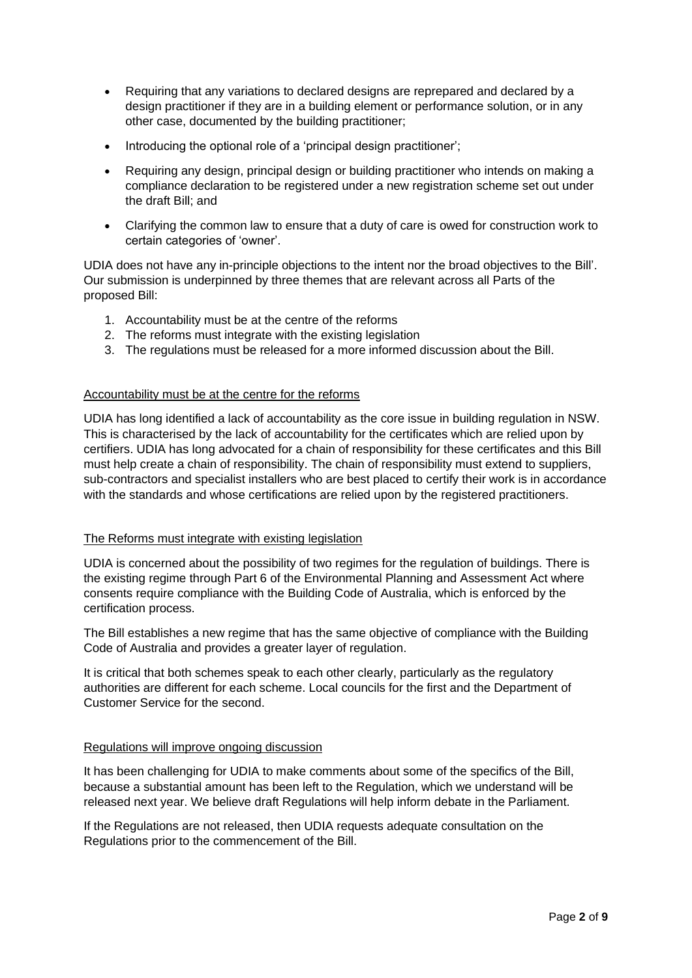- Requiring that any variations to declared designs are reprepared and declared by a design practitioner if they are in a building element or performance solution, or in any other case, documented by the building practitioner;
- Introducing the optional role of a 'principal design practitioner';
- Requiring any design, principal design or building practitioner who intends on making a compliance declaration to be registered under a new registration scheme set out under the draft Bill; and
- Clarifying the common law to ensure that a duty of care is owed for construction work to certain categories of 'owner'.

UDIA does not have any in-principle objections to the intent nor the broad objectives to the Bill'. Our submission is underpinned by three themes that are relevant across all Parts of the proposed Bill:

- 1. Accountability must be at the centre of the reforms
- 2. The reforms must integrate with the existing legislation
- 3. The regulations must be released for a more informed discussion about the Bill.

## Accountability must be at the centre for the reforms

UDIA has long identified a lack of accountability as the core issue in building regulation in NSW. This is characterised by the lack of accountability for the certificates which are relied upon by certifiers. UDIA has long advocated for a chain of responsibility for these certificates and this Bill must help create a chain of responsibility. The chain of responsibility must extend to suppliers, sub-contractors and specialist installers who are best placed to certify their work is in accordance with the standards and whose certifications are relied upon by the registered practitioners.

### The Reforms must integrate with existing legislation

UDIA is concerned about the possibility of two regimes for the regulation of buildings. There is the existing regime through Part 6 of the Environmental Planning and Assessment Act where consents require compliance with the Building Code of Australia, which is enforced by the certification process.

The Bill establishes a new regime that has the same objective of compliance with the Building Code of Australia and provides a greater layer of regulation.

It is critical that both schemes speak to each other clearly, particularly as the regulatory authorities are different for each scheme. Local councils for the first and the Department of Customer Service for the second.

### Regulations will improve ongoing discussion

It has been challenging for UDIA to make comments about some of the specifics of the Bill, because a substantial amount has been left to the Regulation, which we understand will be released next year. We believe draft Regulations will help inform debate in the Parliament.

If the Regulations are not released, then UDIA requests adequate consultation on the Regulations prior to the commencement of the Bill.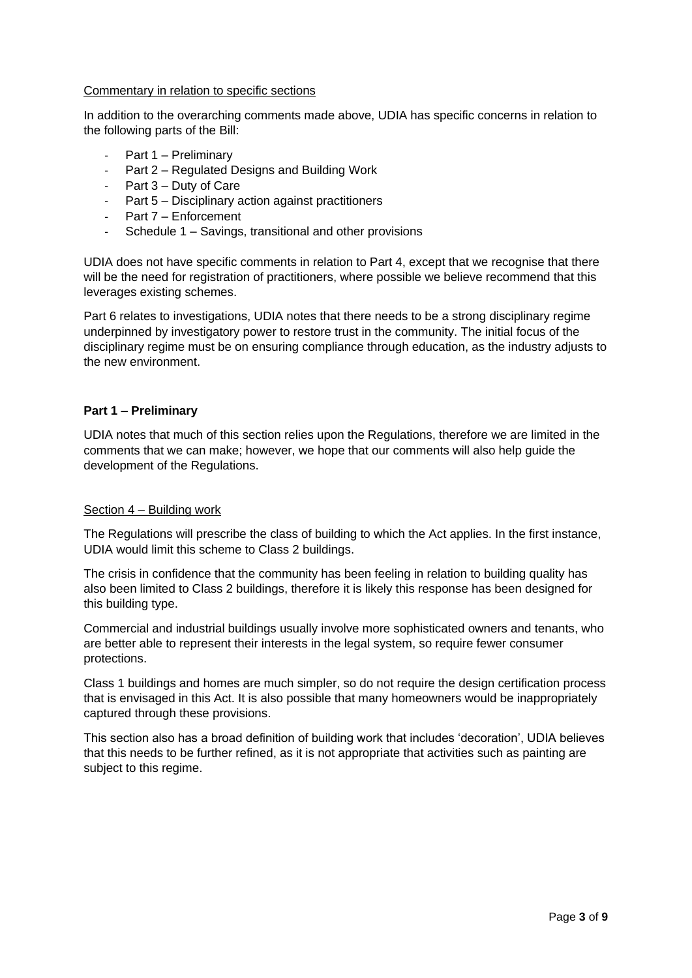#### Commentary in relation to specific sections

In addition to the overarching comments made above, UDIA has specific concerns in relation to the following parts of the Bill:

- Part 1 Preliminary
- Part 2 Regulated Designs and Building Work
- Part 3 Duty of Care
- Part 5 Disciplinary action against practitioners
- Part 7 Enforcement
- Schedule 1 Savings, transitional and other provisions

UDIA does not have specific comments in relation to Part 4, except that we recognise that there will be the need for registration of practitioners, where possible we believe recommend that this leverages existing schemes.

Part 6 relates to investigations, UDIA notes that there needs to be a strong disciplinary regime underpinned by investigatory power to restore trust in the community. The initial focus of the disciplinary regime must be on ensuring compliance through education, as the industry adjusts to the new environment.

### **Part 1 – Preliminary**

UDIA notes that much of this section relies upon the Regulations, therefore we are limited in the comments that we can make; however, we hope that our comments will also help guide the development of the Regulations.

### Section 4 – Building work

The Regulations will prescribe the class of building to which the Act applies. In the first instance, UDIA would limit this scheme to Class 2 buildings.

The crisis in confidence that the community has been feeling in relation to building quality has also been limited to Class 2 buildings, therefore it is likely this response has been designed for this building type.

Commercial and industrial buildings usually involve more sophisticated owners and tenants, who are better able to represent their interests in the legal system, so require fewer consumer protections.

Class 1 buildings and homes are much simpler, so do not require the design certification process that is envisaged in this Act. It is also possible that many homeowners would be inappropriately captured through these provisions.

This section also has a broad definition of building work that includes 'decoration', UDIA believes that this needs to be further refined, as it is not appropriate that activities such as painting are subject to this regime.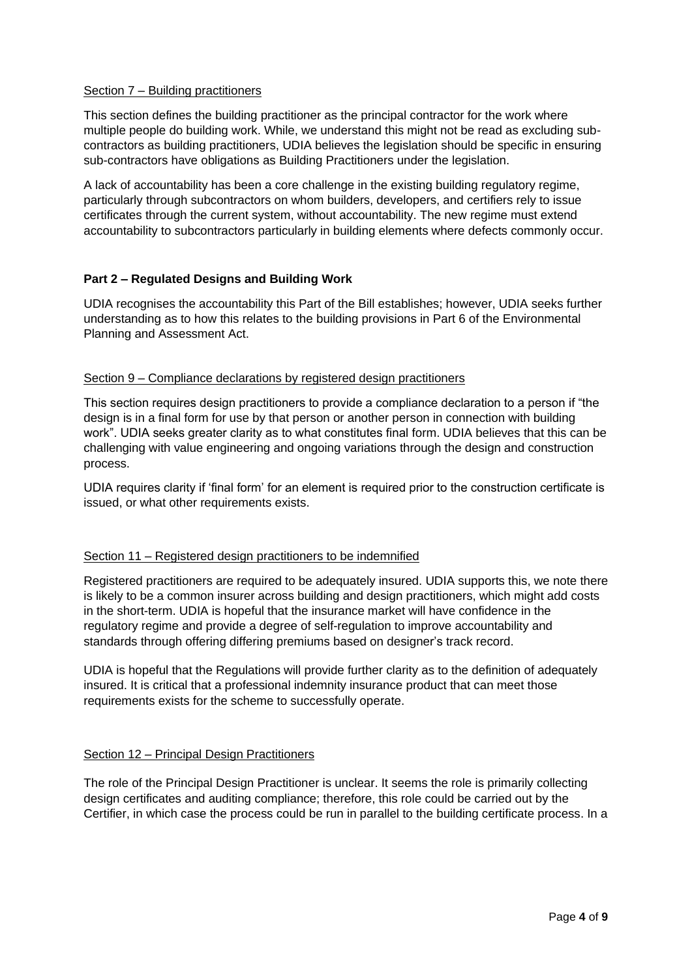### Section 7 – Building practitioners

This section defines the building practitioner as the principal contractor for the work where multiple people do building work. While, we understand this might not be read as excluding subcontractors as building practitioners, UDIA believes the legislation should be specific in ensuring sub-contractors have obligations as Building Practitioners under the legislation.

A lack of accountability has been a core challenge in the existing building regulatory regime, particularly through subcontractors on whom builders, developers, and certifiers rely to issue certificates through the current system, without accountability. The new regime must extend accountability to subcontractors particularly in building elements where defects commonly occur.

# **Part 2 – Regulated Designs and Building Work**

UDIA recognises the accountability this Part of the Bill establishes; however, UDIA seeks further understanding as to how this relates to the building provisions in Part 6 of the Environmental Planning and Assessment Act.

## Section 9 – Compliance declarations by registered design practitioners

This section requires design practitioners to provide a compliance declaration to a person if "the design is in a final form for use by that person or another person in connection with building work". UDIA seeks greater clarity as to what constitutes final form. UDIA believes that this can be challenging with value engineering and ongoing variations through the design and construction process.

UDIA requires clarity if 'final form' for an element is required prior to the construction certificate is issued, or what other requirements exists.

# Section 11 – Registered design practitioners to be indemnified

Registered practitioners are required to be adequately insured. UDIA supports this, we note there is likely to be a common insurer across building and design practitioners, which might add costs in the short-term. UDIA is hopeful that the insurance market will have confidence in the regulatory regime and provide a degree of self-regulation to improve accountability and standards through offering differing premiums based on designer's track record.

UDIA is hopeful that the Regulations will provide further clarity as to the definition of adequately insured. It is critical that a professional indemnity insurance product that can meet those requirements exists for the scheme to successfully operate.

### Section 12 – Principal Design Practitioners

The role of the Principal Design Practitioner is unclear. It seems the role is primarily collecting design certificates and auditing compliance; therefore, this role could be carried out by the Certifier, in which case the process could be run in parallel to the building certificate process. In a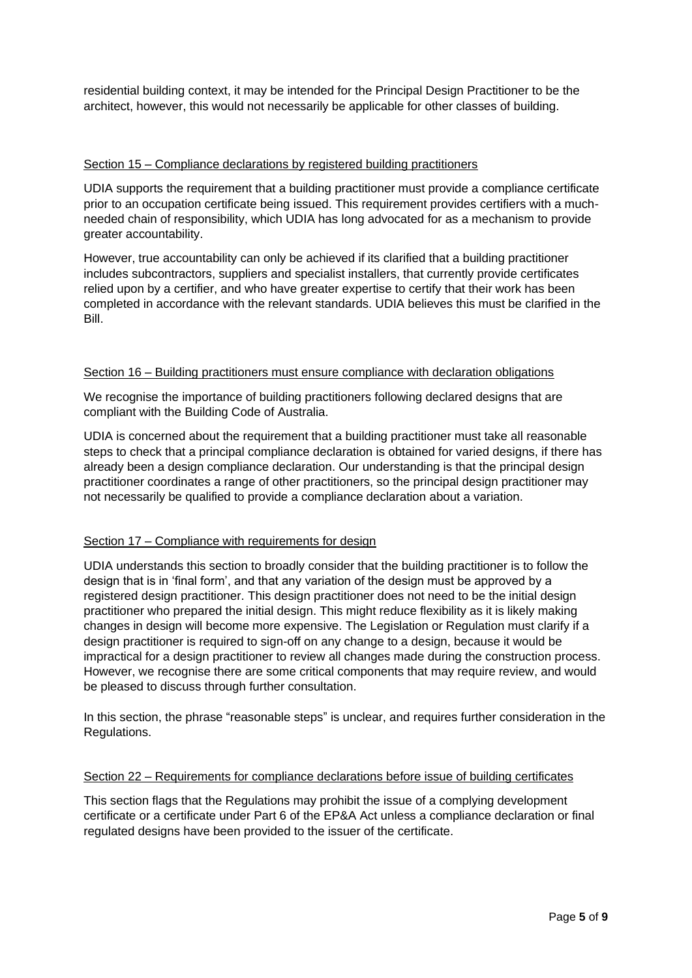residential building context, it may be intended for the Principal Design Practitioner to be the architect, however, this would not necessarily be applicable for other classes of building.

### Section 15 – Compliance declarations by registered building practitioners

UDIA supports the requirement that a building practitioner must provide a compliance certificate prior to an occupation certificate being issued. This requirement provides certifiers with a muchneeded chain of responsibility, which UDIA has long advocated for as a mechanism to provide greater accountability.

However, true accountability can only be achieved if its clarified that a building practitioner includes subcontractors, suppliers and specialist installers, that currently provide certificates relied upon by a certifier, and who have greater expertise to certify that their work has been completed in accordance with the relevant standards. UDIA believes this must be clarified in the Bill.

## Section 16 – Building practitioners must ensure compliance with declaration obligations

We recognise the importance of building practitioners following declared designs that are compliant with the Building Code of Australia.

UDIA is concerned about the requirement that a building practitioner must take all reasonable steps to check that a principal compliance declaration is obtained for varied designs, if there has already been a design compliance declaration. Our understanding is that the principal design practitioner coordinates a range of other practitioners, so the principal design practitioner may not necessarily be qualified to provide a compliance declaration about a variation.

# Section 17 – Compliance with requirements for design

UDIA understands this section to broadly consider that the building practitioner is to follow the design that is in 'final form', and that any variation of the design must be approved by a registered design practitioner. This design practitioner does not need to be the initial design practitioner who prepared the initial design. This might reduce flexibility as it is likely making changes in design will become more expensive. The Legislation or Regulation must clarify if a design practitioner is required to sign-off on any change to a design, because it would be impractical for a design practitioner to review all changes made during the construction process. However, we recognise there are some critical components that may require review, and would be pleased to discuss through further consultation.

In this section, the phrase "reasonable steps" is unclear, and requires further consideration in the Regulations.

### Section 22 – Requirements for compliance declarations before issue of building certificates

This section flags that the Regulations may prohibit the issue of a complying development certificate or a certificate under Part 6 of the EP&A Act unless a compliance declaration or final regulated designs have been provided to the issuer of the certificate.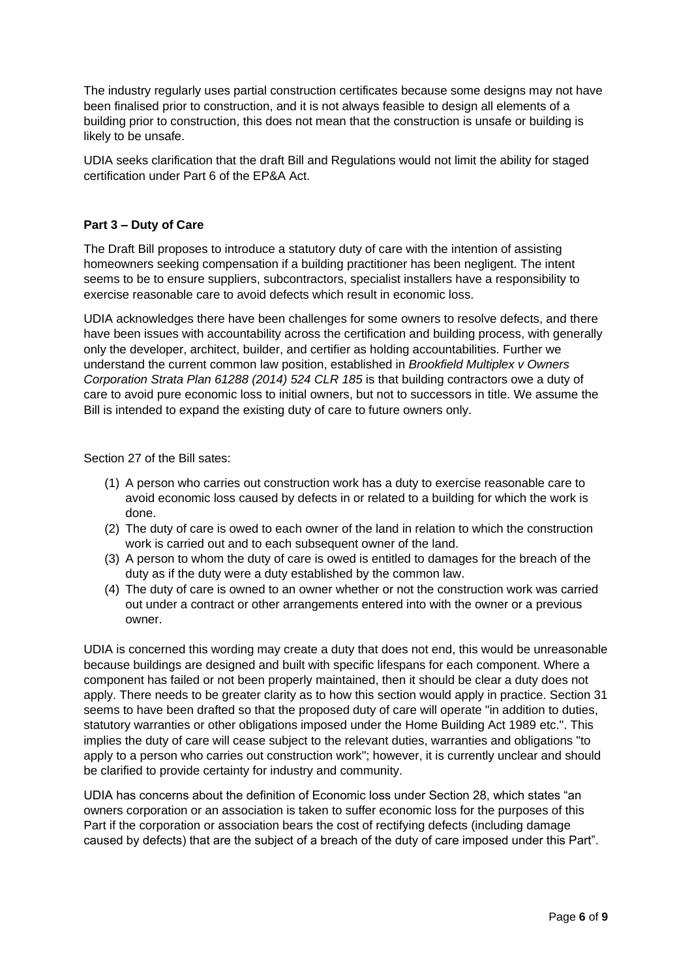The industry regularly uses partial construction certificates because some designs may not have been finalised prior to construction, and it is not always feasible to design all elements of a building prior to construction, this does not mean that the construction is unsafe or building is likely to be unsafe.

UDIA seeks clarification that the draft Bill and Regulations would not limit the ability for staged certification under Part 6 of the EP&A Act.

# **Part 3 – Duty of Care**

The Draft Bill proposes to introduce a statutory duty of care with the intention of assisting homeowners seeking compensation if a building practitioner has been negligent. The intent seems to be to ensure suppliers, subcontractors, specialist installers have a responsibility to exercise reasonable care to avoid defects which result in economic loss.

UDIA acknowledges there have been challenges for some owners to resolve defects, and there have been issues with accountability across the certification and building process, with generally only the developer, architect, builder, and certifier as holding accountabilities. Further we understand the current common law position, established in *Brookfield Multiplex v Owners Corporation Strata Plan 61288 (2014) 524 CLR 185* is that building contractors owe a duty of care to avoid pure economic loss to initial owners, but not to successors in title. We assume the Bill is intended to expand the existing duty of care to future owners only.

Section 27 of the Bill sates:

- (1) A person who carries out construction work has a duty to exercise reasonable care to avoid economic loss caused by defects in or related to a building for which the work is done.
- (2) The duty of care is owed to each owner of the land in relation to which the construction work is carried out and to each subsequent owner of the land.
- (3) A person to whom the duty of care is owed is entitled to damages for the breach of the duty as if the duty were a duty established by the common law.
- (4) The duty of care is owned to an owner whether or not the construction work was carried out under a contract or other arrangements entered into with the owner or a previous owner.

UDIA is concerned this wording may create a duty that does not end, this would be unreasonable because buildings are designed and built with specific lifespans for each component. Where a component has failed or not been properly maintained, then it should be clear a duty does not apply. There needs to be greater clarity as to how this section would apply in practice. Section 31 seems to have been drafted so that the proposed duty of care will operate "in addition to duties, statutory warranties or other obligations imposed under the Home Building Act 1989 etc.". This implies the duty of care will cease subject to the relevant duties, warranties and obligations "to apply to a person who carries out construction work"; however, it is currently unclear and should be clarified to provide certainty for industry and community.

UDIA has concerns about the definition of Economic loss under Section 28, which states "an owners corporation or an association is taken to suffer economic loss for the purposes of this Part if the corporation or association bears the cost of rectifying defects (including damage caused by defects) that are the subject of a breach of the duty of care imposed under this Part".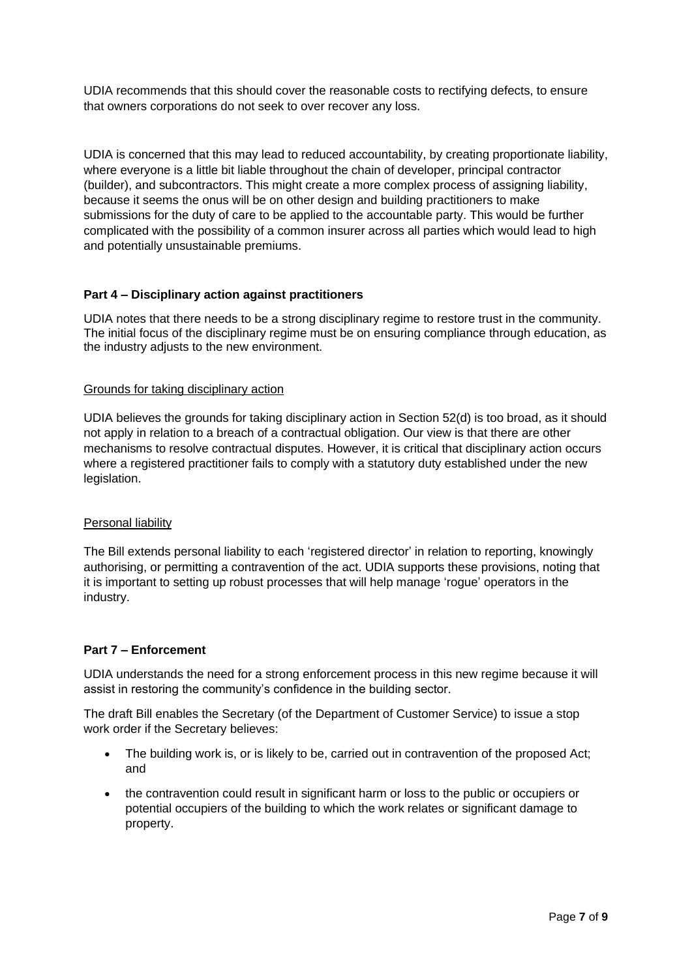UDIA recommends that this should cover the reasonable costs to rectifying defects, to ensure that owners corporations do not seek to over recover any loss.

UDIA is concerned that this may lead to reduced accountability, by creating proportionate liability, where everyone is a little bit liable throughout the chain of developer, principal contractor (builder), and subcontractors. This might create a more complex process of assigning liability, because it seems the onus will be on other design and building practitioners to make submissions for the duty of care to be applied to the accountable party. This would be further complicated with the possibility of a common insurer across all parties which would lead to high and potentially unsustainable premiums.

## **Part 4 – Disciplinary action against practitioners**

UDIA notes that there needs to be a strong disciplinary regime to restore trust in the community. The initial focus of the disciplinary regime must be on ensuring compliance through education, as the industry adjusts to the new environment.

### Grounds for taking disciplinary action

UDIA believes the grounds for taking disciplinary action in Section 52(d) is too broad, as it should not apply in relation to a breach of a contractual obligation. Our view is that there are other mechanisms to resolve contractual disputes. However, it is critical that disciplinary action occurs where a registered practitioner fails to comply with a statutory duty established under the new legislation.

### Personal liability

The Bill extends personal liability to each 'registered director' in relation to reporting, knowingly authorising, or permitting a contravention of the act. UDIA supports these provisions, noting that it is important to setting up robust processes that will help manage 'rogue' operators in the industry.

### **Part 7 – Enforcement**

UDIA understands the need for a strong enforcement process in this new regime because it will assist in restoring the community's confidence in the building sector.

The draft Bill enables the Secretary (of the Department of Customer Service) to issue a stop work order if the Secretary believes:

- The building work is, or is likely to be, carried out in contravention of the proposed Act; and
- the contravention could result in significant harm or loss to the public or occupiers or potential occupiers of the building to which the work relates or significant damage to property.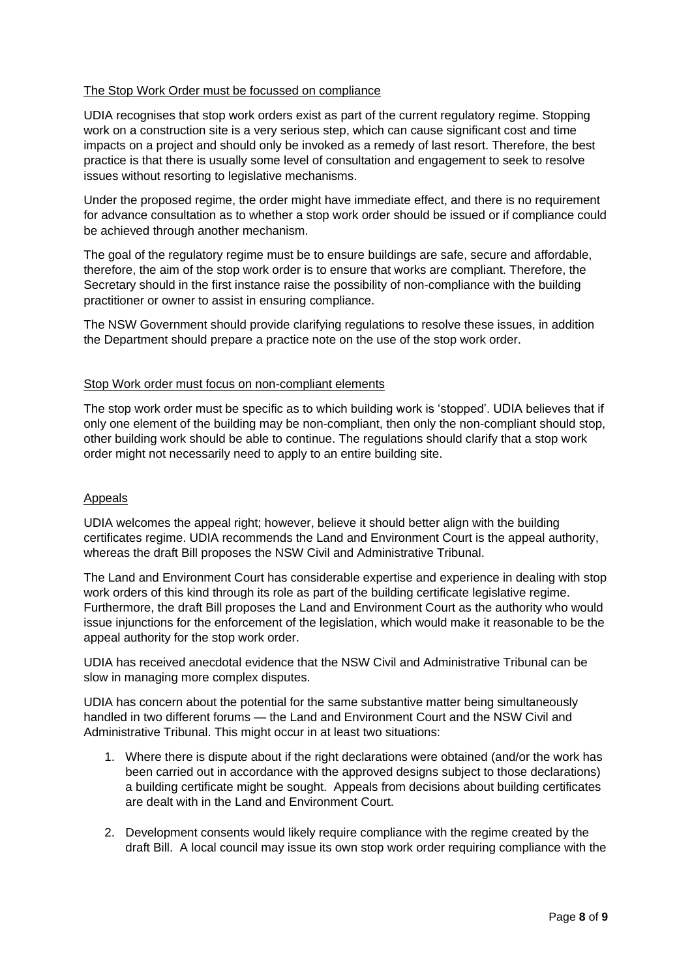## The Stop Work Order must be focussed on compliance

UDIA recognises that stop work orders exist as part of the current regulatory regime. Stopping work on a construction site is a very serious step, which can cause significant cost and time impacts on a project and should only be invoked as a remedy of last resort. Therefore, the best practice is that there is usually some level of consultation and engagement to seek to resolve issues without resorting to legislative mechanisms.

Under the proposed regime, the order might have immediate effect, and there is no requirement for advance consultation as to whether a stop work order should be issued or if compliance could be achieved through another mechanism.

The goal of the regulatory regime must be to ensure buildings are safe, secure and affordable, therefore, the aim of the stop work order is to ensure that works are compliant. Therefore, the Secretary should in the first instance raise the possibility of non-compliance with the building practitioner or owner to assist in ensuring compliance.

The NSW Government should provide clarifying regulations to resolve these issues, in addition the Department should prepare a practice note on the use of the stop work order.

### Stop Work order must focus on non-compliant elements

The stop work order must be specific as to which building work is 'stopped'. UDIA believes that if only one element of the building may be non-compliant, then only the non-compliant should stop, other building work should be able to continue. The regulations should clarify that a stop work order might not necessarily need to apply to an entire building site.

### Appeals

UDIA welcomes the appeal right; however, believe it should better align with the building certificates regime. UDIA recommends the Land and Environment Court is the appeal authority, whereas the draft Bill proposes the NSW Civil and Administrative Tribunal.

The Land and Environment Court has considerable expertise and experience in dealing with stop work orders of this kind through its role as part of the building certificate legislative regime. Furthermore, the draft Bill proposes the Land and Environment Court as the authority who would issue injunctions for the enforcement of the legislation, which would make it reasonable to be the appeal authority for the stop work order.

UDIA has received anecdotal evidence that the NSW Civil and Administrative Tribunal can be slow in managing more complex disputes.

UDIA has concern about the potential for the same substantive matter being simultaneously handled in two different forums — the Land and Environment Court and the NSW Civil and Administrative Tribunal. This might occur in at least two situations:

- 1. Where there is dispute about if the right declarations were obtained (and/or the work has been carried out in accordance with the approved designs subject to those declarations) a building certificate might be sought. Appeals from decisions about building certificates are dealt with in the Land and Environment Court.
- 2. Development consents would likely require compliance with the regime created by the draft Bill. A local council may issue its own stop work order requiring compliance with the